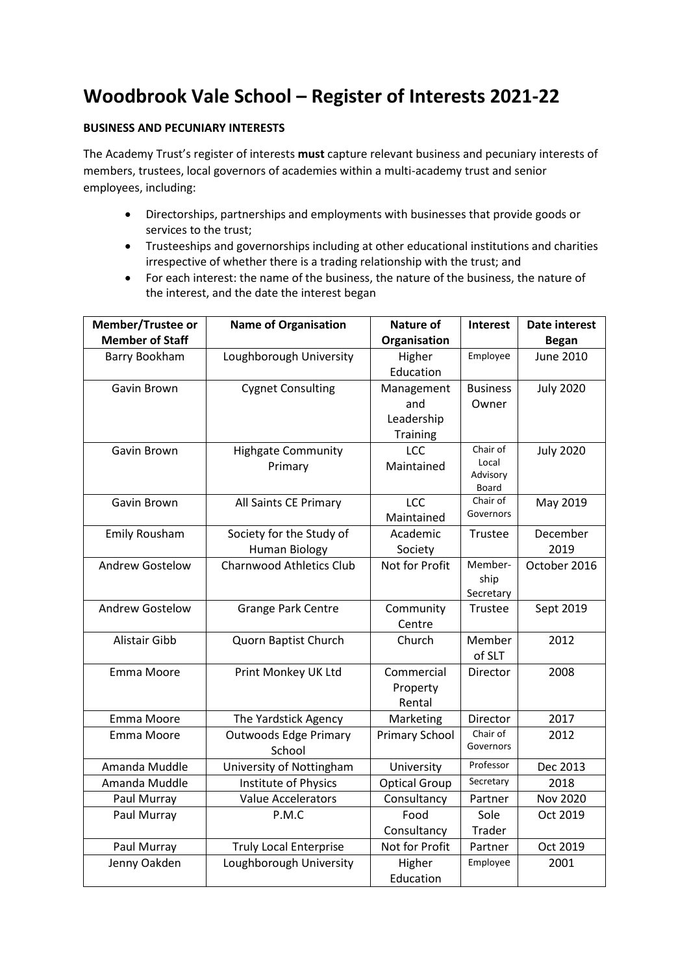## **Woodbrook Vale School – Register of Interests 2021-22**

## **BUSINESS AND PECUNIARY INTERESTS**

The Academy Trust's register of interests **must** capture relevant business and pecuniary interests of members, trustees, local governors of academies within a multi-academy trust and senior employees, including:

- Directorships, partnerships and employments with businesses that provide goods or services to the trust;
- Trusteeships and governorships including at other educational institutions and charities irrespective of whether there is a trading relationship with the trust; and
- For each interest: the name of the business, the nature of the business, the nature of the interest, and the date the interest began

| <b>Member/Trustee or</b> | <b>Name of Organisation</b>     | <b>Nature of</b>      | <b>Interest</b>      | Date interest    |
|--------------------------|---------------------------------|-----------------------|----------------------|------------------|
| <b>Member of Staff</b>   |                                 | Organisation          |                      | <b>Began</b>     |
| Barry Bookham            | Loughborough University         | Higher                | Employee             | <b>June 2010</b> |
|                          |                                 | Education             |                      |                  |
| Gavin Brown              | <b>Cygnet Consulting</b>        | Management            | <b>Business</b>      | <b>July 2020</b> |
|                          |                                 | and                   | Owner                |                  |
|                          |                                 | Leadership            |                      |                  |
|                          |                                 | Training              |                      |                  |
| Gavin Brown              | <b>Highgate Community</b>       | LCC                   | Chair of             | <b>July 2020</b> |
|                          | Primary                         | Maintained            | Local<br>Advisory    |                  |
|                          |                                 |                       | Board                |                  |
| Gavin Brown              | All Saints CE Primary           | LCC                   | Chair of             | May 2019         |
|                          |                                 | Maintained            | Governors            |                  |
| <b>Emily Rousham</b>     | Society for the Study of        | Academic              | Trustee              | December         |
|                          | <b>Human Biology</b>            | Society               |                      | 2019             |
| <b>Andrew Gostelow</b>   | <b>Charnwood Athletics Club</b> | Not for Profit        | Member-              | October 2016     |
|                          |                                 |                       | ship                 |                  |
|                          |                                 |                       | Secretary            |                  |
| <b>Andrew Gostelow</b>   | <b>Grange Park Centre</b>       | Community             | Trustee              | Sept 2019        |
|                          |                                 | Centre                |                      |                  |
| <b>Alistair Gibb</b>     | Quorn Baptist Church            | Church                | Member               | 2012             |
|                          |                                 |                       | of SLT               |                  |
| Emma Moore               | Print Monkey UK Ltd             | Commercial            | Director             | 2008             |
|                          |                                 | Property              |                      |                  |
|                          |                                 | Rental                |                      |                  |
| Emma Moore               | The Yardstick Agency            | Marketing             | Director<br>Chair of | 2017             |
| Emma Moore               | <b>Outwoods Edge Primary</b>    | <b>Primary School</b> | Governors            | 2012             |
|                          | School                          |                       | Professor            |                  |
| Amanda Muddle            | University of Nottingham        | University            | Secretary            | Dec 2013         |
| Amanda Muddle            | Institute of Physics            | <b>Optical Group</b>  |                      | 2018             |
| Paul Murray              | Value Accelerators              | Consultancy           | Partner              | <b>Nov 2020</b>  |
| Paul Murray              | P.M.C                           | Food                  | Sole                 | Oct 2019         |
|                          |                                 | Consultancy           | Trader               |                  |
| Paul Murray              | <b>Truly Local Enterprise</b>   | Not for Profit        | Partner              | Oct 2019         |
| Jenny Oakden             | Loughborough University         | Higher                | Employee             | 2001             |
|                          |                                 | Education             |                      |                  |